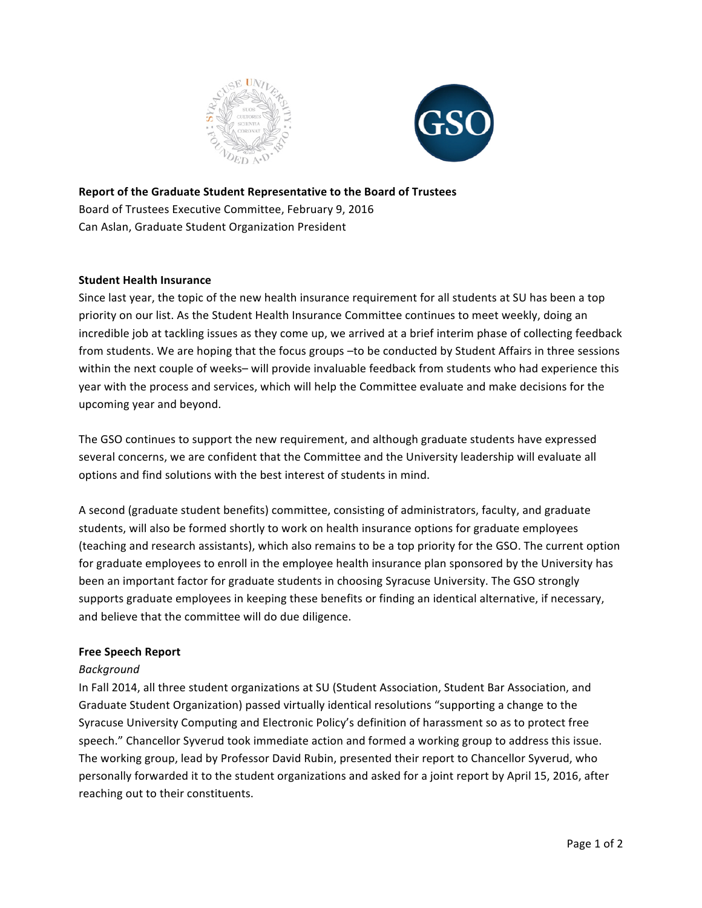



**Report of the Graduate Student Representative to the Board of Trustees** Board of Trustees Executive Committee, February 9, 2016 Can Aslan, Graduate Student Organization President

## **Student Health Insurance**

Since last year, the topic of the new health insurance requirement for all students at SU has been a top priority on our list. As the Student Health Insurance Committee continues to meet weekly, doing an incredible job at tackling issues as they come up, we arrived at a brief interim phase of collecting feedback from students. We are hoping that the focus groups -to be conducted by Student Affairs in three sessions within the next couple of weeks– will provide invaluable feedback from students who had experience this year with the process and services, which will help the Committee evaluate and make decisions for the upcoming year and beyond.

The GSO continues to support the new requirement, and although graduate students have expressed several concerns, we are confident that the Committee and the University leadership will evaluate all options and find solutions with the best interest of students in mind.

A second (graduate student benefits) committee, consisting of administrators, faculty, and graduate students, will also be formed shortly to work on health insurance options for graduate employees (teaching and research assistants), which also remains to be a top priority for the GSO. The current option for graduate employees to enroll in the employee health insurance plan sponsored by the University has been an important factor for graduate students in choosing Syracuse University. The GSO strongly supports graduate employees in keeping these benefits or finding an identical alternative, if necessary, and believe that the committee will do due diligence.

## **Free Speech Report**

## *Background*

In Fall 2014, all three student organizations at SU (Student Association, Student Bar Association, and Graduate Student Organization) passed virtually identical resolutions "supporting a change to the Syracuse University Computing and Electronic Policy's definition of harassment so as to protect free speech." Chancellor Syverud took immediate action and formed a working group to address this issue. The working group, lead by Professor David Rubin, presented their report to Chancellor Syverud, who personally forwarded it to the student organizations and asked for a joint report by April 15, 2016, after reaching out to their constituents.